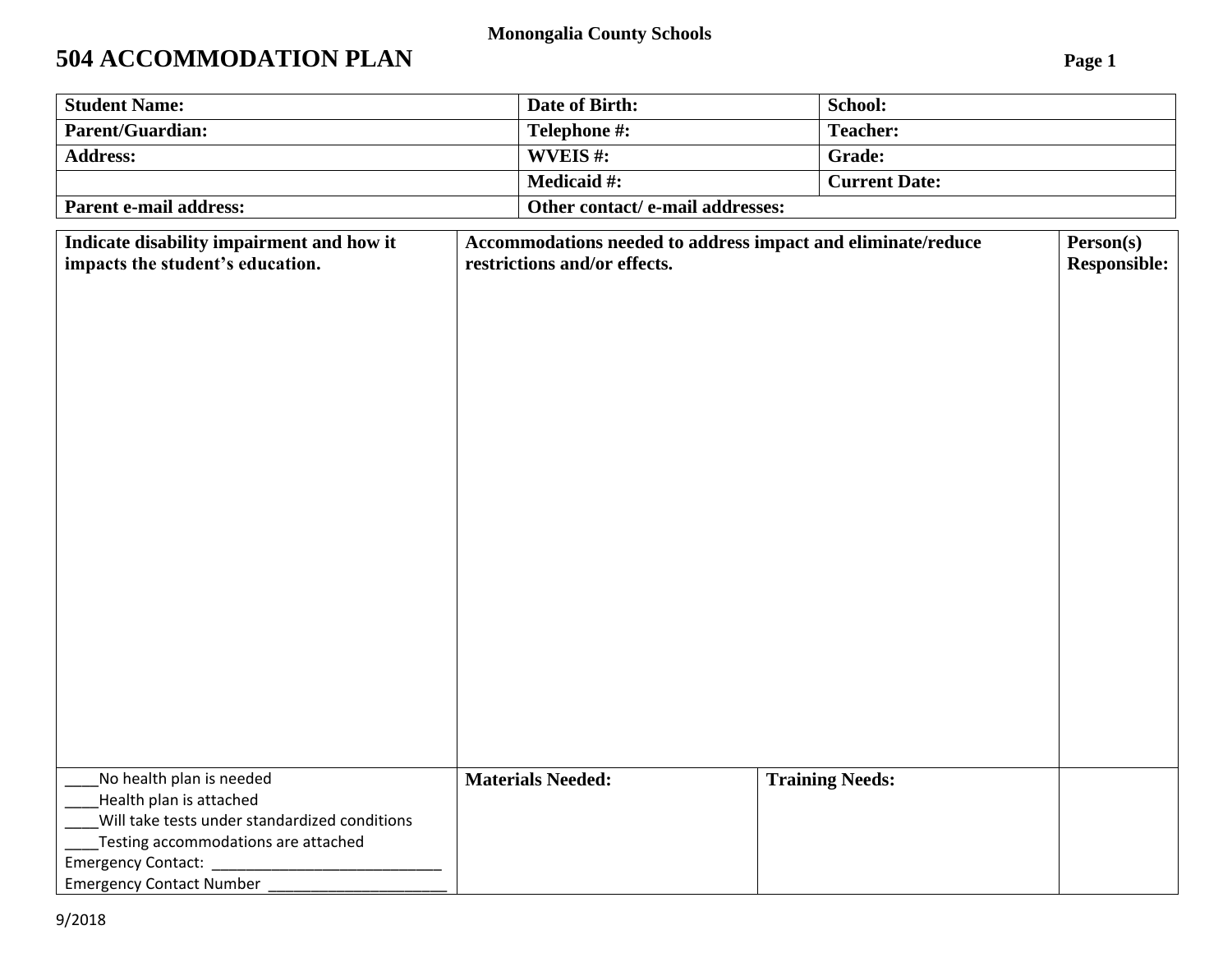#### **Monongalia County Schools**

# **504 ACCOMMODATION PLAN Page 1**

| <b>Student Name:</b>                                                          | Date of Birth:                             | School:                                                                                          |  |  |
|-------------------------------------------------------------------------------|--------------------------------------------|--------------------------------------------------------------------------------------------------|--|--|
| <b>Parent/Guardian:</b>                                                       | Telephone #:                               | <b>Teacher:</b>                                                                                  |  |  |
| <b>Address:</b>                                                               | WVEIS#:                                    | Grade:                                                                                           |  |  |
|                                                                               | <b>Medicaid #:</b><br><b>Current Date:</b> |                                                                                                  |  |  |
| <b>Parent e-mail address:</b>                                                 | Other contact/e-mail addresses:            |                                                                                                  |  |  |
| Indicate disability impairment and how it<br>impacts the student's education. | restrictions and/or effects.               | Accommodations needed to address impact and eliminate/reduce<br>Person(s)<br><b>Responsible:</b> |  |  |
|                                                                               |                                            |                                                                                                  |  |  |
|                                                                               |                                            |                                                                                                  |  |  |
|                                                                               |                                            |                                                                                                  |  |  |
|                                                                               |                                            |                                                                                                  |  |  |
|                                                                               |                                            |                                                                                                  |  |  |
|                                                                               |                                            |                                                                                                  |  |  |
|                                                                               |                                            |                                                                                                  |  |  |
|                                                                               |                                            |                                                                                                  |  |  |
|                                                                               |                                            |                                                                                                  |  |  |
|                                                                               |                                            |                                                                                                  |  |  |
|                                                                               |                                            |                                                                                                  |  |  |
|                                                                               |                                            |                                                                                                  |  |  |
|                                                                               |                                            |                                                                                                  |  |  |
|                                                                               |                                            |                                                                                                  |  |  |
|                                                                               |                                            |                                                                                                  |  |  |
|                                                                               |                                            |                                                                                                  |  |  |
|                                                                               |                                            |                                                                                                  |  |  |
|                                                                               |                                            |                                                                                                  |  |  |
| No health plan is needed<br>Health plan is attached                           | <b>Materials Needed:</b>                   | <b>Training Needs:</b>                                                                           |  |  |
| Will take tests under standardized conditions                                 |                                            |                                                                                                  |  |  |
| Testing accommodations are attached                                           |                                            |                                                                                                  |  |  |
| Emergency Contact: _                                                          |                                            |                                                                                                  |  |  |
| <b>Emergency Contact Number</b>                                               |                                            |                                                                                                  |  |  |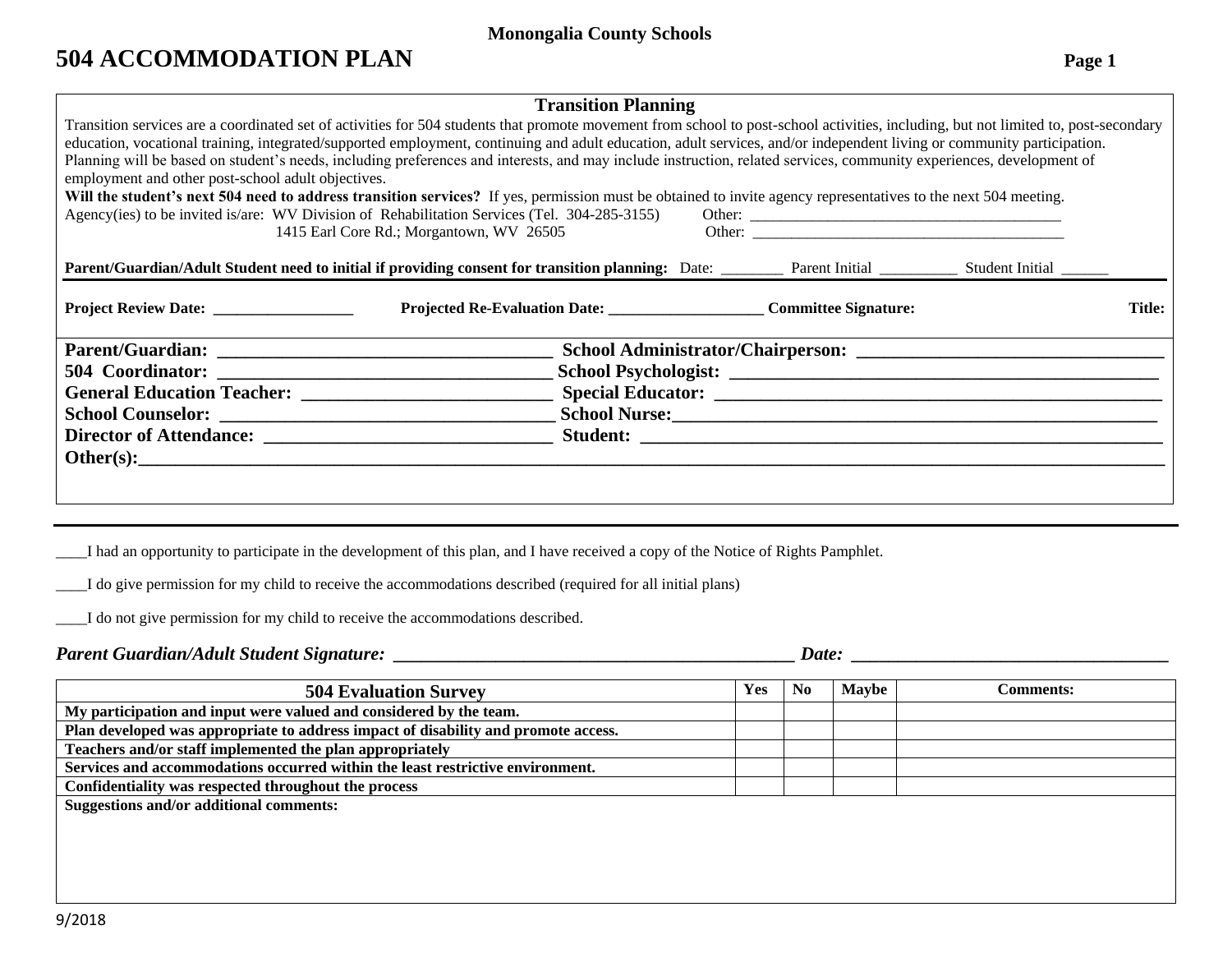#### **Monongalia County Schools**

## **504 ACCOMMODATION PLAN Page 1**

| <b>Transition Planning</b>                                                                                                                                             |                                                                                                                                                                                     |  |  |               |  |  |  |
|------------------------------------------------------------------------------------------------------------------------------------------------------------------------|-------------------------------------------------------------------------------------------------------------------------------------------------------------------------------------|--|--|---------------|--|--|--|
|                                                                                                                                                                        | Transition services are a coordinated set of activities for 504 students that promote movement from school to post-school activities, including, but not limited to, post-secondary |  |  |               |  |  |  |
| education, vocational training, integrated/supported employment, continuing and adult education, adult services, and/or independent living or community participation. |                                                                                                                                                                                     |  |  |               |  |  |  |
| Planning will be based on student's needs, including preferences and interests, and may include instruction, related services, community experiences, development of   |                                                                                                                                                                                     |  |  |               |  |  |  |
| employment and other post-school adult objectives.                                                                                                                     |                                                                                                                                                                                     |  |  |               |  |  |  |
| Will the student's next 504 need to address transition services? If yes, permission must be obtained to invite agency representatives to the next 504 meeting.         |                                                                                                                                                                                     |  |  |               |  |  |  |
|                                                                                                                                                                        | Agency(ies) to be invited is/are: WV Division of Rehabilitation Services (Tel. 304-285-3155)                                                                                        |  |  |               |  |  |  |
|                                                                                                                                                                        | 1415 Earl Core Rd.; Morgantown, WV 26505                                                                                                                                            |  |  |               |  |  |  |
|                                                                                                                                                                        | Parent/Guardian/Adult Student need to initial if providing consent for transition planning: Date: ________ Parent Initial ________ Student Initial _______                          |  |  |               |  |  |  |
|                                                                                                                                                                        |                                                                                                                                                                                     |  |  |               |  |  |  |
|                                                                                                                                                                        | Projected Re-Evaluation Date: Committee Signature:                                                                                                                                  |  |  | <b>Title:</b> |  |  |  |
|                                                                                                                                                                        |                                                                                                                                                                                     |  |  |               |  |  |  |
|                                                                                                                                                                        |                                                                                                                                                                                     |  |  |               |  |  |  |
|                                                                                                                                                                        |                                                                                                                                                                                     |  |  |               |  |  |  |
|                                                                                                                                                                        |                                                                                                                                                                                     |  |  |               |  |  |  |
|                                                                                                                                                                        |                                                                                                                                                                                     |  |  |               |  |  |  |
|                                                                                                                                                                        |                                                                                                                                                                                     |  |  |               |  |  |  |
|                                                                                                                                                                        |                                                                                                                                                                                     |  |  |               |  |  |  |
|                                                                                                                                                                        |                                                                                                                                                                                     |  |  |               |  |  |  |
|                                                                                                                                                                        |                                                                                                                                                                                     |  |  |               |  |  |  |
|                                                                                                                                                                        |                                                                                                                                                                                     |  |  |               |  |  |  |

\_\_\_\_I had an opportunity to participate in the development of this plan, and I have received a copy of the Notice of Rights Pamphlet.

\_\_\_\_I do give permission for my child to receive the accommodations described (required for all initial plans)

\_\_\_\_I do not give permission for my child to receive the accommodations described.

### *Parent Guardian/Adult Student Signature: \_\_\_\_\_\_\_\_\_\_\_\_\_\_\_\_\_\_\_\_\_\_\_\_\_\_\_\_\_\_\_\_\_\_\_\_\_\_\_\_\_\_\_ Date: \_\_\_\_\_\_\_\_\_\_\_\_\_\_\_\_\_\_\_\_\_\_\_\_\_\_\_\_\_\_\_\_\_\_*

| <b>504 Evaluation Survey</b>                                                       | <b>Yes</b> | N <sub>0</sub> | <b>Maybe</b> | <b>Comments:</b> |
|------------------------------------------------------------------------------------|------------|----------------|--------------|------------------|
| My participation and input were valued and considered by the team.                 |            |                |              |                  |
| Plan developed was appropriate to address impact of disability and promote access. |            |                |              |                  |
| Teachers and/or staff implemented the plan appropriately                           |            |                |              |                  |
| Services and accommodations occurred within the least restrictive environment.     |            |                |              |                  |
| Confidentiality was respected throughout the process                               |            |                |              |                  |
| <b>Suggestions and/or additional comments:</b>                                     |            |                |              |                  |
|                                                                                    |            |                |              |                  |
|                                                                                    |            |                |              |                  |
|                                                                                    |            |                |              |                  |
|                                                                                    |            |                |              |                  |